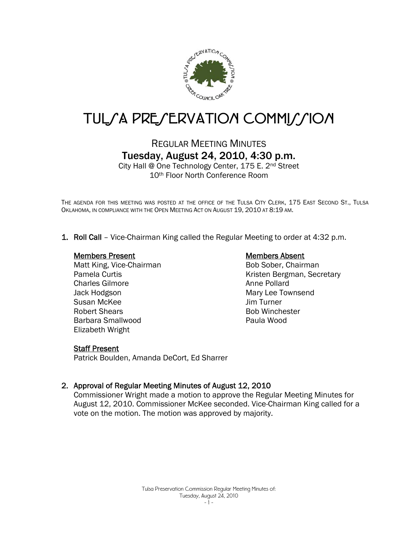

# TUL*SA PRESERVATION COMMISSION*

# REGULAR MEETING MINUTES Tuesday, August 24, 2010, 4:30 p.m.

City Hall @ One Technology Center, 175 E. 2nd Street 10th Floor North Conference Room

THE AGENDA FOR THIS MEETING WAS POSTED AT THE OFFICE OF THE TULSA CITY CLERK, 175 EAST SECOND ST., TULSA OKLAHOMA, IN COMPLIANCE WITH THE OPEN MEETING ACT ON AUGUST 19, 2010 AT 8:19 AM.

1. Roll Call – Vice-Chairman King called the Regular Meeting to order at 4:32 p.m.

# Members Present

Matt King, Vice-Chairman Pamela Curtis Charles Gilmore Jack Hodgson Susan McKee Robert Shears Barbara Smallwood Elizabeth Wright

# Members Absent

Bob Sober, Chairman Kristen Bergman, Secretary Anne Pollard Mary Lee Townsend Jim Turner Bob Winchester Paula Wood

## **Staff Present**

Patrick Boulden, Amanda DeCort, Ed Sharrer

# 2. Approval of Regular Meeting Minutes of August 12, 2010

Commissioner Wright made a motion to approve the Regular Meeting Minutes for August 12, 2010. Commissioner McKee seconded. Vice-Chairman King called for a vote on the motion. The motion was approved by majority.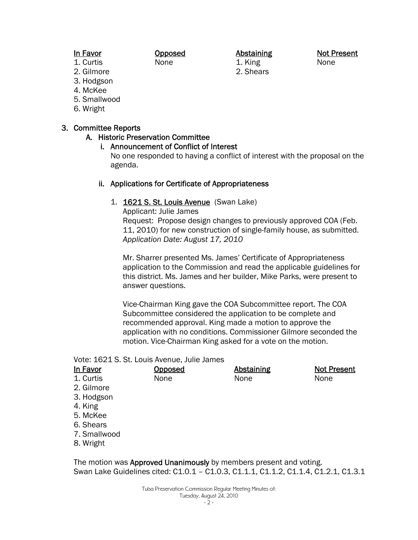# In Favor

#### Opposed None

### Abstaining 1. King

2. Shears

Not Present None

- 1. Curtis
- 2. Gilmore
- 3. Hodgson
- 4. McKee
- 5. Smallwood
- 6. Wright

# 3. Committee Reports

# A. Historic Preservation Committee

# i. Announcement of Conflict of Interest

No one responded to having a conflict of interest with the proposal on the agenda.

# ii. Applications for Certificate of Appropriateness

# 1. 1621 S. St. Louis Avenue (Swan Lake)

Applicant: Julie James Request: Propose design changes to previously approved COA (Feb. 11, 2010) for new construction of single-family house, as submitted. *Application Date: August 17, 2010*

Mr. Sharrer presented Ms. James' Certificate of Appropriateness application to the Commission and read the applicable guidelines for this district. Ms. James and her builder, Mike Parks, were present to answer questions.

Vice-Chairman King gave the COA Subcommittee report. The COA Subcommittee considered the application to be complete and recommended approval. King made a motion to approve the application with no conditions. Commissioner Gilmore seconded the motion. Vice-Chairman King asked for a vote on the motion.

Vote: 1621 S. St. Louis Avenue, Julie James

| In Favor     | <u>Opposed</u> | <b>Abstaining</b> | <b>Not Present</b> |
|--------------|----------------|-------------------|--------------------|
| 1. Curtis    | None           | None              | None               |
| 2. Gilmore   |                |                   |                    |
| 3. Hodgson   |                |                   |                    |
| 4. King      |                |                   |                    |
| 5. McKee     |                |                   |                    |
| 6. Shears    |                |                   |                    |
| 7. Smallwood |                |                   |                    |
| 8. Wright    |                |                   |                    |
|              |                |                   |                    |

The motion was Approved Unanimously by members present and voting. Swan Lake Guidelines cited: C1.0.1 – C1.0.3, C1.1.1, C1.1.2, C1.1.4, C1.2.1, C1.3.1